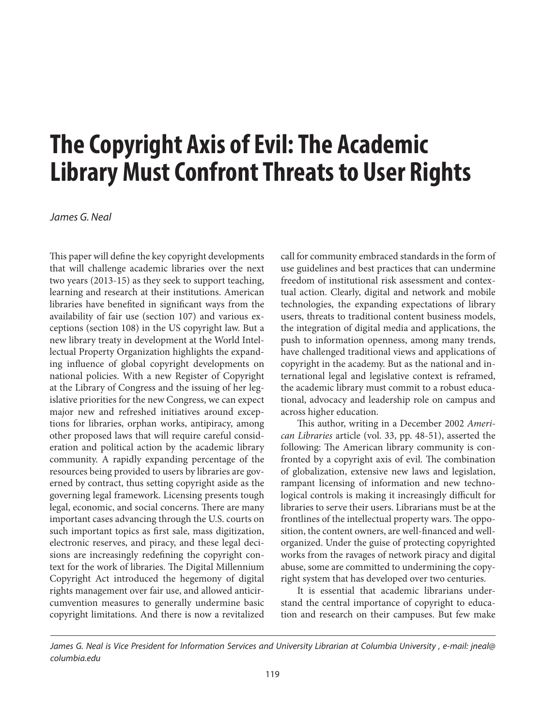## **The Copyright Axis of Evil: The Academic Library Must Confront Threats to User Rights**

*James G. Neal*

This paper will define the key copyright developments that will challenge academic libraries over the next two years (2013-15) as they seek to support teaching, learning and research at their institutions. American libraries have benefited in significant ways from the availability of fair use (section 107) and various exceptions (section 108) in the US copyright law. But a new library treaty in development at the World Intellectual Property Organization highlights the expanding influence of global copyright developments on national policies. With a new Register of Copyright at the Library of Congress and the issuing of her legislative priorities for the new Congress, we can expect major new and refreshed initiatives around exceptions for libraries, orphan works, antipiracy, among other proposed laws that will require careful consideration and political action by the academic library community. A rapidly expanding percentage of the resources being provided to users by libraries are governed by contract, thus setting copyright aside as the governing legal framework. Licensing presents tough legal, economic, and social concerns. There are many important cases advancing through the U.S. courts on such important topics as first sale, mass digitization, electronic reserves, and piracy, and these legal decisions are increasingly redefining the copyright context for the work of libraries. The Digital Millennium Copyright Act introduced the hegemony of digital rights management over fair use, and allowed anticircumvention measures to generally undermine basic copyright limitations. And there is now a revitalized call for community embraced standards in the form of use guidelines and best practices that can undermine freedom of institutional risk assessment and contextual action. Clearly, digital and network and mobile technologies, the expanding expectations of library users, threats to traditional content business models, the integration of digital media and applications, the push to information openness, among many trends, have challenged traditional views and applications of copyright in the academy. But as the national and international legal and legislative context is reframed, the academic library must commit to a robust educational, advocacy and leadership role on campus and across higher education.

This author, writing in a December 2002 *American Libraries* article (vol. 33, pp. 48-51), asserted the following: The American library community is confronted by a copyright axis of evil. The combination of globalization, extensive new laws and legislation, rampant licensing of information and new technological controls is making it increasingly difficult for libraries to serve their users. Librarians must be at the frontlines of the intellectual property wars. The opposition, the content owners, are well-financed and wellorganized. Under the guise of protecting copyrighted works from the ravages of network piracy and digital abuse, some are committed to undermining the copyright system that has developed over two centuries.

It is essential that academic librarians understand the central importance of copyright to education and research on their campuses. But few make

*James G. Neal is Vice President for Information Services and University Librarian at Columbia University , e-mail: jneal@ columbia.edu*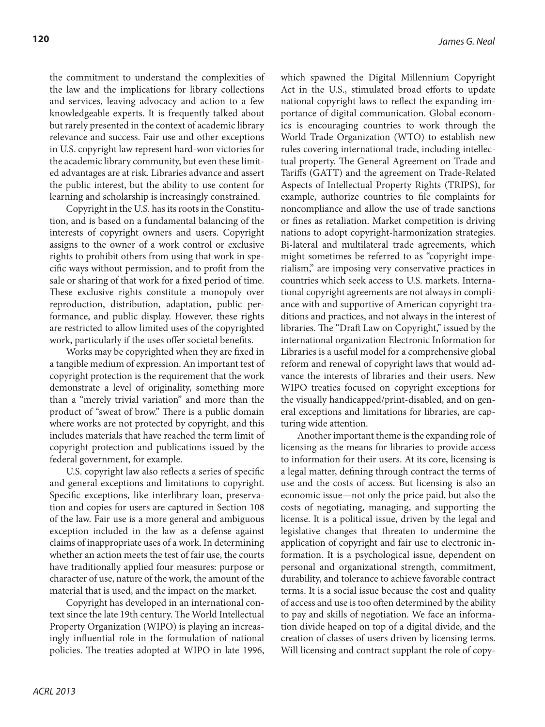the commitment to understand the complexities of the law and the implications for library collections and services, leaving advocacy and action to a few knowledgeable experts. It is frequently talked about but rarely presented in the context of academic library relevance and success. Fair use and other exceptions in U.S. copyright law represent hard-won victories for the academic library community, but even these limited advantages are at risk. Libraries advance and assert the public interest, but the ability to use content for learning and scholarship is increasingly constrained.

Copyright in the U.S. has its roots in the Constitution, and is based on a fundamental balancing of the interests of copyright owners and users. Copyright assigns to the owner of a work control or exclusive rights to prohibit others from using that work in specific ways without permission, and to profit from the sale or sharing of that work for a fixed period of time. These exclusive rights constitute a monopoly over reproduction, distribution, adaptation, public performance, and public display. However, these rights are restricted to allow limited uses of the copyrighted work, particularly if the uses offer societal benefits.

Works may be copyrighted when they are fixed in a tangible medium of expression. An important test of copyright protection is the requirement that the work demonstrate a level of originality, something more than a "merely trivial variation" and more than the product of "sweat of brow." There is a public domain where works are not protected by copyright, and this includes materials that have reached the term limit of copyright protection and publications issued by the federal government, for example.

U.S. copyright law also reflects a series of specific and general exceptions and limitations to copyright. Specific exceptions, like interlibrary loan, preservation and copies for users are captured in Section 108 of the law. Fair use is a more general and ambiguous exception included in the law as a defense against claims of inappropriate uses of a work. In determining whether an action meets the test of fair use, the courts have traditionally applied four measures: purpose or character of use, nature of the work, the amount of the material that is used, and the impact on the market.

Copyright has developed in an international context since the late 19th century. The World Intellectual Property Organization (WIPO) is playing an increasingly influential role in the formulation of national policies. The treaties adopted at WIPO in late 1996,

which spawned the Digital Millennium Copyright Act in the U.S., stimulated broad efforts to update national copyright laws to reflect the expanding importance of digital communication. Global economics is encouraging countries to work through the World Trade Organization (WTO) to establish new rules covering international trade, including intellectual property. The General Agreement on Trade and Tariffs (GATT) and the agreement on Trade-Related Aspects of Intellectual Property Rights (TRIPS), for example, authorize countries to file complaints for noncompliance and allow the use of trade sanctions or fines as retaliation. Market competition is driving nations to adopt copyright-harmonization strategies. Bi-lateral and multilateral trade agreements, which might sometimes be referred to as "copyright imperialism," are imposing very conservative practices in countries which seek access to U.S. markets. International copyright agreements are not always in compliance with and supportive of American copyright traditions and practices, and not always in the interest of libraries. The "Draft Law on Copyright," issued by the international organization Electronic Information for Libraries is a useful model for a comprehensive global reform and renewal of copyright laws that would advance the interests of libraries and their users. New WIPO treaties focused on copyright exceptions for the visually handicapped/print-disabled, and on general exceptions and limitations for libraries, are capturing wide attention.

Another important theme is the expanding role of licensing as the means for libraries to provide access to information for their users. At its core, licensing is a legal matter, defining through contract the terms of use and the costs of access. But licensing is also an economic issue—not only the price paid, but also the costs of negotiating, managing, and supporting the license. It is a political issue, driven by the legal and legislative changes that threaten to undermine the application of copyright and fair use to electronic information. It is a psychological issue, dependent on personal and organizational strength, commitment, durability, and tolerance to achieve favorable contract terms. It is a social issue because the cost and quality of access and use is too often determined by the ability to pay and skills of negotiation. We face an information divide heaped on top of a digital divide, and the creation of classes of users driven by licensing terms. Will licensing and contract supplant the role of copy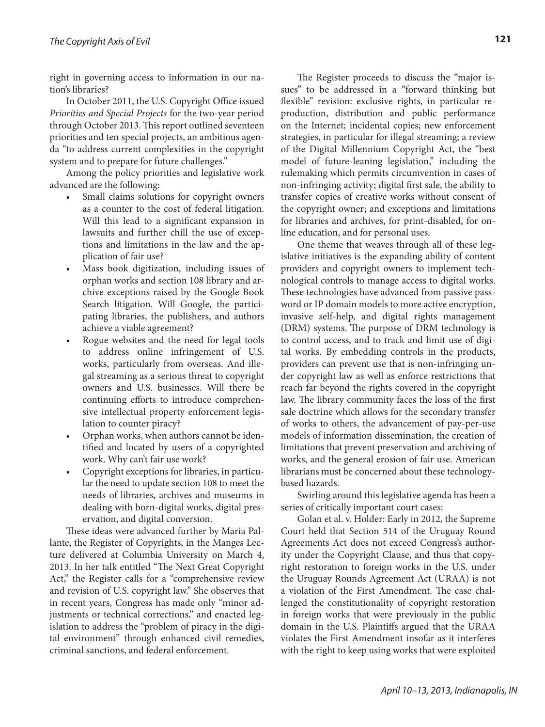right in governing access to information in our nation's libraries?

In October 2011, the U.S. Copyright Office issued *Priorities and Special Projects* for the two-year period through October 2013. This report outlined seventeen priorities and ten special projects, an ambitious agenda "to address current complexities in the copyright system and to prepare for future challenges."

Among the policy priorities and legislative work advanced are the following:

- • Small claims solutions for copyright owners as a counter to the cost of federal litigation. Will this lead to a significant expansion in lawsuits and further chill the use of exceptions and limitations in the law and the application of fair use?
- Mass book digitization, including issues of orphan works and section 108 library and archive exceptions raised by the Google Book Search litigation. Will Google, the participating libraries, the publishers, and authors achieve a viable agreement?
- Rogue websites and the need for legal tools to address online infringement of U.S. works, particularly from overseas. And illegal streaming as a serious threat to copyright owners and U.S. businesses. Will there be continuing efforts to introduce comprehensive intellectual property enforcement legislation to counter piracy?
- Orphan works, when authors cannot be identified and located by users of a copyrighted work. Why can't fair use work?
- Copyright exceptions for libraries, in particular the need to update section 108 to meet the needs of libraries, archives and museums in dealing with born-digital works, digital preservation, and digital conversion.

These ideas were advanced further by Maria Pallante, the Register of Copyrights, in the Manges Lecture delivered at Columbia University on March 4, 2013. In her talk entitled "The Next Great Copyright Act," the Register calls for a "comprehensive review and revision of U.S. copyright law." She observes that in recent years, Congress has made only "minor adjustments or technical corrections," and enacted legislation to address the "problem of piracy in the digital environment" through enhanced civil remedies, criminal sanctions, and federal enforcement.

The Register proceeds to discuss the "major issues" to be addressed in a "forward thinking but flexible" revision: exclusive rights, in particular reproduction, distribution and public performance on the Internet; incidental copies; new enforcement strategies, in particular for illegal streaming; a review of the Digital Millennium Copyright Act, the "best model of future-leaning legislation," including the rulemaking which permits circumvention in cases of non-infringing activity; digital first sale, the ability to transfer copies of creative works without consent of the copyright owner; and exceptions and limitations for libraries and archives, for print-disabled, for online education, and for personal uses.

One theme that weaves through all of these legislative initiatives is the expanding ability of content providers and copyright owners to implement technological controls to manage access to digital works. These technologies have advanced from passive password or IP domain models to more active encryption, invasive self-help, and digital rights management (DRM) systems. The purpose of DRM technology is to control access, and to track and limit use of digital works. By embedding controls in the products, providers can prevent use that is non-infringing under copyright law as well as enforce restrictions that reach far beyond the rights covered in the copyright law. The library community faces the loss of the first sale doctrine which allows for the secondary transfer of works to others, the advancement of pay-per-use models of information dissemination, the creation of limitations that prevent preservation and archiving of works, and the general erosion of fair use. American librarians must be concerned about these technologybased hazards.

Swirling around this legislative agenda has been a series of critically important court cases:

Golan et al. v. Holder: Early in 2012, the Supreme Court held that Section 514 of the Uruguay Round Agreements Act does not exceed Congress's authority under the Copyright Clause, and thus that copyright restoration to foreign works in the U.S. under the Uruguay Rounds Agreement Act (URAA) is not a violation of the First Amendment. The case challenged the constitutionality of copyright restoration in foreign works that were previously in the public domain in the U.S. Plaintiffs argued that the URAA violates the First Amendment insofar as it interferes with the right to keep using works that were exploited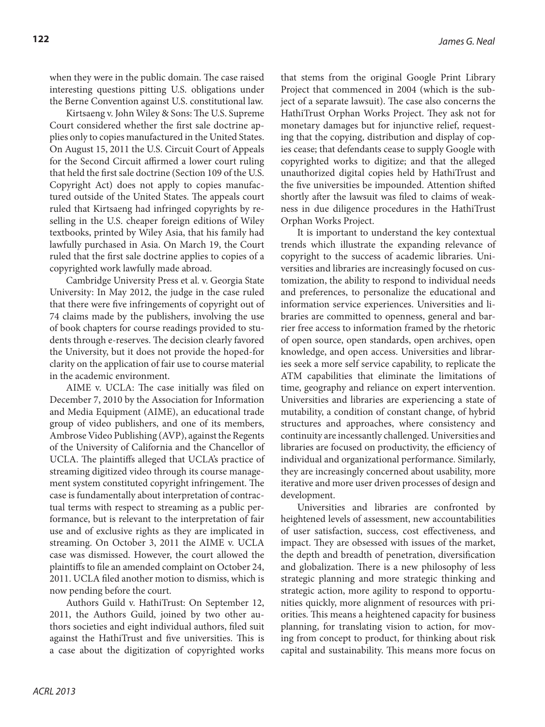when they were in the public domain. The case raised interesting questions pitting U.S. obligations under the Berne Convention against U.S. constitutional law.

Kirtsaeng v. John Wiley & Sons: The U.S. Supreme Court considered whether the first sale doctrine applies only to copies manufactured in the United States. On August 15, 2011 the U.S. Circuit Court of Appeals for the Second Circuit affirmed a lower court ruling that held the first sale doctrine (Section 109 of the U.S. Copyright Act) does not apply to copies manufactured outside of the United States. The appeals court ruled that Kirtsaeng had infringed copyrights by reselling in the U.S. cheaper foreign editions of Wiley textbooks, printed by Wiley Asia, that his family had lawfully purchased in Asia. On March 19, the Court ruled that the first sale doctrine applies to copies of a copyrighted work lawfully made abroad.

Cambridge University Press et al. v. Georgia State University: In May 2012, the judge in the case ruled that there were five infringements of copyright out of 74 claims made by the publishers, involving the use of book chapters for course readings provided to students through e-reserves. The decision clearly favored the University, but it does not provide the hoped-for clarity on the application of fair use to course material in the academic environment.

AIME v. UCLA: The case initially was filed on December 7, 2010 by the Association for Information and Media Equipment (AIME), an educational trade group of video publishers, and one of its members, Ambrose Video Publishing (AVP), against the Regents of the University of California and the Chancellor of UCLA. The plaintiffs alleged that UCLA's practice of streaming digitized video through its course management system constituted copyright infringement. The case is fundamentally about interpretation of contractual terms with respect to streaming as a public performance, but is relevant to the interpretation of fair use and of exclusive rights as they are implicated in streaming. On October 3, 2011 the AIME v. UCLA case was dismissed. However, the court allowed the plaintiffs to file an amended complaint on October 24, 2011. UCLA filed another motion to dismiss, which is now pending before the court.

Authors Guild v. HathiTrust: On September 12, 2011, the Authors Guild, joined by two other authors societies and eight individual authors, filed suit against the HathiTrust and five universities. This is a case about the digitization of copyrighted works that stems from the original Google Print Library Project that commenced in 2004 (which is the subject of a separate lawsuit). The case also concerns the HathiTrust Orphan Works Project. They ask not for monetary damages but for injunctive relief, requesting that the copying, distribution and display of copies cease; that defendants cease to supply Google with copyrighted works to digitize; and that the alleged unauthorized digital copies held by HathiTrust and the five universities be impounded. Attention shifted shortly after the lawsuit was filed to claims of weakness in due diligence procedures in the HathiTrust Orphan Works Project.

It is important to understand the key contextual trends which illustrate the expanding relevance of copyright to the success of academic libraries. Universities and libraries are increasingly focused on customization, the ability to respond to individual needs and preferences, to personalize the educational and information service experiences. Universities and libraries are committed to openness, general and barrier free access to information framed by the rhetoric of open source, open standards, open archives, open knowledge, and open access. Universities and libraries seek a more self service capability, to replicate the ATM capabilities that eliminate the limitations of time, geography and reliance on expert intervention. Universities and libraries are experiencing a state of mutability, a condition of constant change, of hybrid structures and approaches, where consistency and continuity are incessantly challenged. Universities and libraries are focused on productivity, the efficiency of individual and organizational performance. Similarly, they are increasingly concerned about usability, more iterative and more user driven processes of design and development.

Universities and libraries are confronted by heightened levels of assessment, new accountabilities of user satisfaction, success, cost effectiveness, and impact. They are obsessed with issues of the market, the depth and breadth of penetration, diversification and globalization. There is a new philosophy of less strategic planning and more strategic thinking and strategic action, more agility to respond to opportunities quickly, more alignment of resources with priorities. This means a heightened capacity for business planning, for translating vision to action, for moving from concept to product, for thinking about risk capital and sustainability. This means more focus on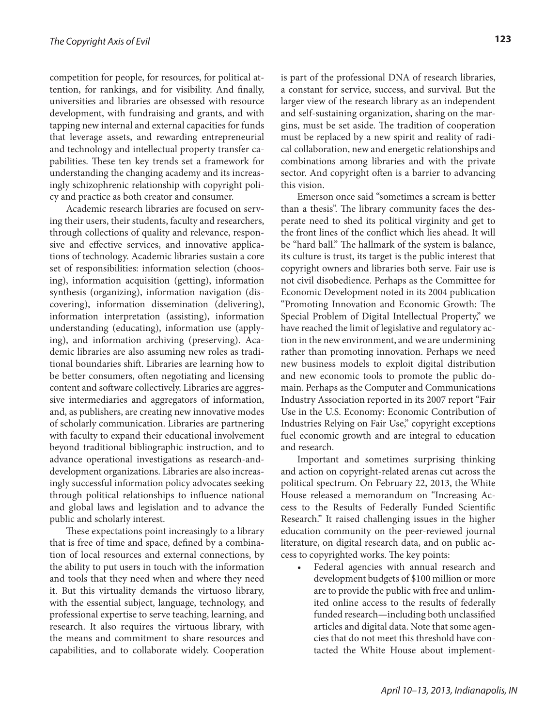competition for people, for resources, for political attention, for rankings, and for visibility. And finally, universities and libraries are obsessed with resource development, with fundraising and grants, and with tapping new internal and external capacities for funds that leverage assets, and rewarding entrepreneurial and technology and intellectual property transfer capabilities. These ten key trends set a framework for understanding the changing academy and its increasingly schizophrenic relationship with copyright policy and practice as both creator and consumer.

Academic research libraries are focused on serving their users, their students, faculty and researchers, through collections of quality and relevance, responsive and effective services, and innovative applications of technology. Academic libraries sustain a core set of responsibilities: information selection (choosing), information acquisition (getting), information synthesis (organizing), information navigation (discovering), information dissemination (delivering), information interpretation (assisting), information understanding (educating), information use (applying), and information archiving (preserving). Academic libraries are also assuming new roles as traditional boundaries shift. Libraries are learning how to be better consumers, often negotiating and licensing content and software collectively. Libraries are aggressive intermediaries and aggregators of information, and, as publishers, are creating new innovative modes of scholarly communication. Libraries are partnering with faculty to expand their educational involvement beyond traditional bibliographic instruction, and to advance operational investigations as research-anddevelopment organizations. Libraries are also increasingly successful information policy advocates seeking through political relationships to influence national and global laws and legislation and to advance the public and scholarly interest.

These expectations point increasingly to a library that is free of time and space, defined by a combination of local resources and external connections, by the ability to put users in touch with the information and tools that they need when and where they need it. But this virtuality demands the virtuoso library, with the essential subject, language, technology, and professional expertise to serve teaching, learning, and research. It also requires the virtuous library, with the means and commitment to share resources and capabilities, and to collaborate widely. Cooperation

is part of the professional DNA of research libraries, a constant for service, success, and survival. But the larger view of the research library as an independent and self-sustaining organization, sharing on the margins, must be set aside. The tradition of cooperation must be replaced by a new spirit and reality of radical collaboration, new and energetic relationships and combinations among libraries and with the private sector. And copyright often is a barrier to advancing this vision.

Emerson once said "sometimes a scream is better than a thesis". The library community faces the desperate need to shed its political virginity and get to the front lines of the conflict which lies ahead. It will be "hard ball." The hallmark of the system is balance, its culture is trust, its target is the public interest that copyright owners and libraries both serve. Fair use is not civil disobedience. Perhaps as the Committee for Economic Development noted in its 2004 publication "Promoting Innovation and Economic Growth: The Special Problem of Digital Intellectual Property," we have reached the limit of legislative and regulatory action in the new environment, and we are undermining rather than promoting innovation. Perhaps we need new business models to exploit digital distribution and new economic tools to promote the public domain. Perhaps as the Computer and Communications Industry Association reported in its 2007 report "Fair Use in the U.S. Economy: Economic Contribution of Industries Relying on Fair Use," copyright exceptions fuel economic growth and are integral to education and research.

Important and sometimes surprising thinking and action on copyright-related arenas cut across the political spectrum. On February 22, 2013, the White House released a memorandum on "Increasing Access to the Results of Federally Funded Scientific Research." It raised challenging issues in the higher education community on the peer-reviewed journal literature, on digital research data, and on public access to copyrighted works. The key points:

Federal agencies with annual research and development budgets of \$100 million or more are to provide the public with free and unlimited online access to the results of federally funded research—including both unclassified articles and digital data. Note that some agencies that do not meet this threshold have contacted the White House about implement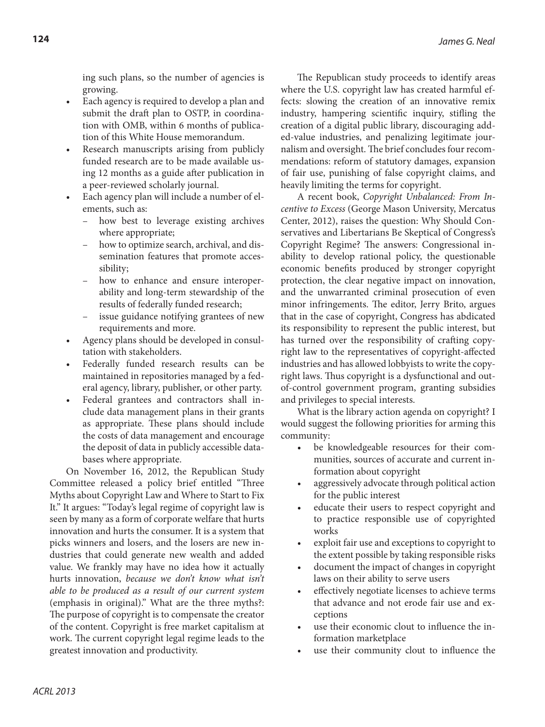ing such plans, so the number of agencies is growing.

- Each agency is required to develop a plan and submit the draft plan to OSTP, in coordination with OMB, within 6 months of publication of this White House memorandum.
- Research manuscripts arising from publicly funded research are to be made available using 12 months as a guide after publication in a peer-reviewed scholarly journal.
- Each agency plan will include a number of elements, such as:
	- how best to leverage existing archives where appropriate;
	- how to optimize search, archival, and dissemination features that promote accessibility;
	- how to enhance and ensure interoperability and long-term stewardship of the results of federally funded research;
	- issue guidance notifying grantees of new requirements and more.
- Agency plans should be developed in consultation with stakeholders.
- Federally funded research results can be maintained in repositories managed by a federal agency, library, publisher, or other party.
- Federal grantees and contractors shall include data management plans in their grants as appropriate. These plans should include the costs of data management and encourage the deposit of data in publicly accessible databases where appropriate.

On November 16, 2012, the Republican Study Committee released a policy brief entitled "Three Myths about Copyright Law and Where to Start to Fix It." It argues: "Today's legal regime of copyright law is seen by many as a form of corporate welfare that hurts innovation and hurts the consumer. It is a system that picks winners and losers, and the losers are new industries that could generate new wealth and added value. We frankly may have no idea how it actually hurts innovation, *because we don't know what isn't able to be produced as a result of our current system* (emphasis in original)." What are the three myths?: The purpose of copyright is to compensate the creator of the content. Copyright is free market capitalism at work. The current copyright legal regime leads to the greatest innovation and productivity.

The Republican study proceeds to identify areas where the U.S. copyright law has created harmful effects: slowing the creation of an innovative remix industry, hampering scientific inquiry, stifling the creation of a digital public library, discouraging added-value industries, and penalizing legitimate journalism and oversight. The brief concludes four recommendations: reform of statutory damages, expansion of fair use, punishing of false copyright claims, and heavily limiting the terms for copyright.

A recent book, *Copyright Unbalanced: From Incentive to Excess* (George Mason University, Mercatus Center, 2012), raises the question: Why Should Conservatives and Libertarians Be Skeptical of Congress's Copyright Regime? The answers: Congressional inability to develop rational policy, the questionable economic benefits produced by stronger copyright protection, the clear negative impact on innovation, and the unwarranted criminal prosecution of even minor infringements. The editor, Jerry Brito, argues that in the case of copyright, Congress has abdicated its responsibility to represent the public interest, but has turned over the responsibility of crafting copyright law to the representatives of copyright-affected industries and has allowed lobbyists to write the copyright laws. Thus copyright is a dysfunctional and outof-control government program, granting subsidies and privileges to special interests.

What is the library action agenda on copyright? I would suggest the following priorities for arming this community:

- be knowledgeable resources for their communities, sources of accurate and current information about copyright
- aggressively advocate through political action for the public interest
- educate their users to respect copyright and to practice responsible use of copyrighted works
- exploit fair use and exceptions to copyright to the extent possible by taking responsible risks
- document the impact of changes in copyright laws on their ability to serve users
- effectively negotiate licenses to achieve terms that advance and not erode fair use and exceptions
- use their economic clout to influence the information marketplace
- use their community clout to influence the